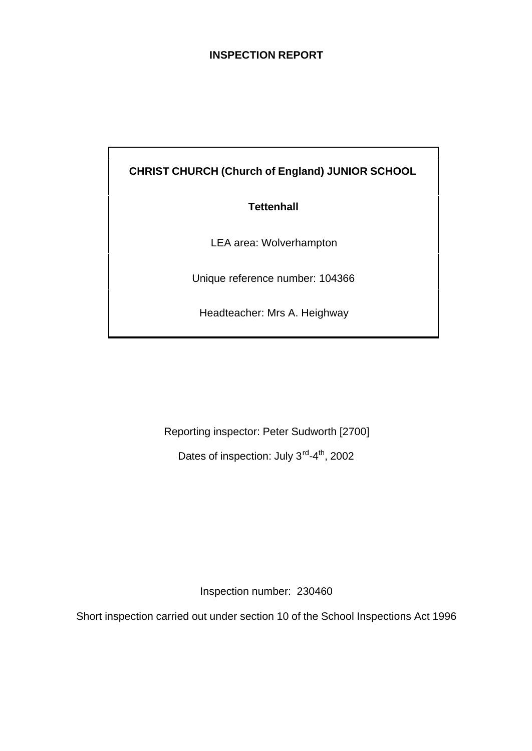# **INSPECTION REPORT**

**CHRIST CHURCH (Church of England) JUNIOR SCHOOL**

# **Tettenhall**

LEA area: Wolverhampton

Unique reference number: 104366

Headteacher: Mrs A. Heighway

Reporting inspector: Peter Sudworth [2700]

Dates of inspection: July 3<sup>rd</sup>-4<sup>th</sup>, 2002

Inspection number: 230460

Short inspection carried out under section 10 of the School Inspections Act 1996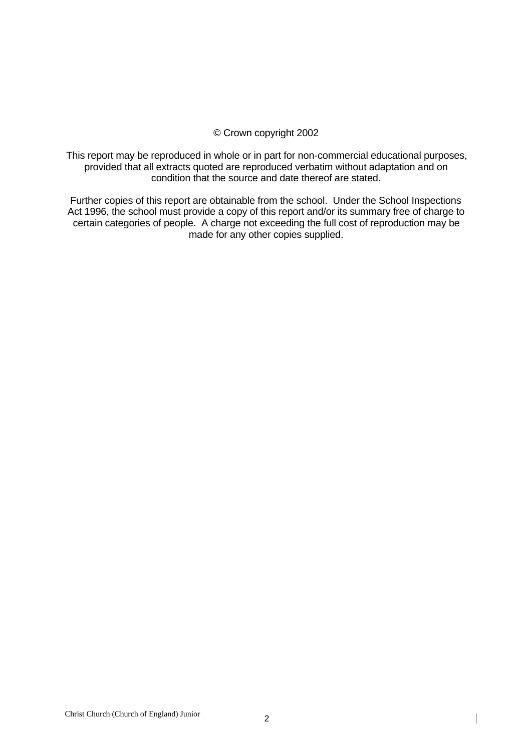#### © Crown copyright 2002

This report may be reproduced in whole or in part for non-commercial educational purposes, provided that all extracts quoted are reproduced verbatim without adaptation and on condition that the source and date thereof are stated.

Further copies of this report are obtainable from the school. Under the School Inspections Act 1996, the school must provide a copy of this report and/or its summary free of charge to certain categories of people. A charge not exceeding the full cost of reproduction may be made for any other copies supplied.

 $\mathbf{I}$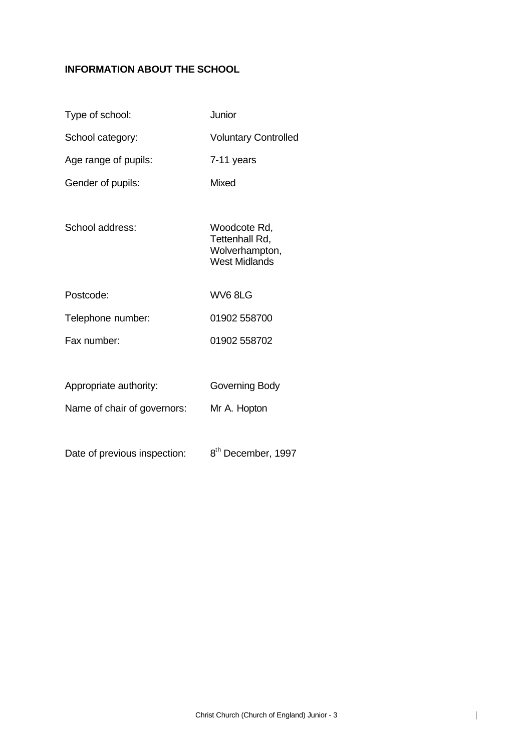# **INFORMATION ABOUT THE SCHOOL**

| Type of school:              | Junior                                                                   |
|------------------------------|--------------------------------------------------------------------------|
| School category:             | <b>Voluntary Controlled</b>                                              |
| Age range of pupils:         | 7-11 years                                                               |
| Gender of pupils:            | Mixed                                                                    |
| School address:              | Woodcote Rd,<br>Tettenhall Rd,<br>Wolverhampton,<br><b>West Midlands</b> |
| Postcode:                    | WV68LG                                                                   |
| Telephone number:            | 01902 558700                                                             |
| Fax number:                  | 01902 558702                                                             |
|                              |                                                                          |
| Appropriate authority:       | Governing Body                                                           |
| Name of chair of governors:  | Mr A. Hopton                                                             |
|                              |                                                                          |
| Date of previous inspection: | 8 <sup>th</sup> December, 1997                                           |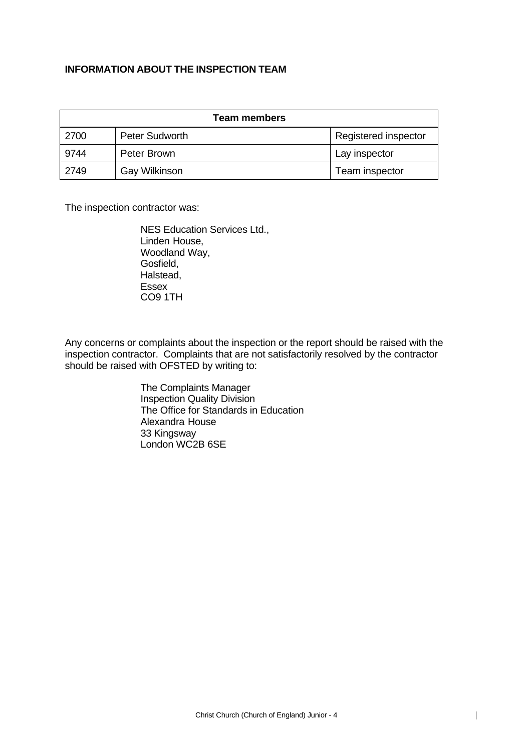## **INFORMATION ABOUT THE INSPECTION TEAM**

| Team members |                      |                      |  |  |
|--------------|----------------------|----------------------|--|--|
| 2700         | Peter Sudworth       | Registered inspector |  |  |
| 9744         | Peter Brown          | Lay inspector        |  |  |
| 2749         | <b>Gay Wilkinson</b> | Team inspector       |  |  |

The inspection contractor was:

NES Education Services Ltd., Linden House, Woodland Way, Gosfield, Halstead, Essex CO9 1TH

Any concerns or complaints about the inspection or the report should be raised with the inspection contractor. Complaints that are not satisfactorily resolved by the contractor should be raised with OFSTED by writing to:

> The Complaints Manager Inspection Quality Division The Office for Standards in Education Alexandra House 33 Kingsway London WC2B 6SE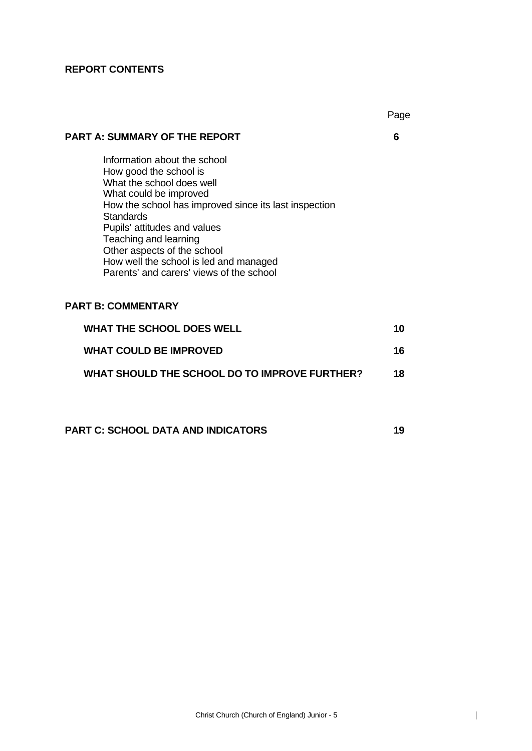#### **REPORT CONTENTS**

#### **PART A: SUMMARY OF THE REPORT 6**

Information about the school How good the school is What the school does well What could be improved How the school has improved since its last inspection **Standards** Pupils' attitudes and values Teaching and learning Other aspects of the school How well the school is led and managed Parents' and carers' views of the school

# **PART B: COMMENTARY**

| <b>WHAT THE SCHOOL DOES WELL</b>              | 10 |
|-----------------------------------------------|----|
| <b>WHAT COULD BE IMPROVED</b>                 | 16 |
| WHAT SHOULD THE SCHOOL DO TO IMPROVE FURTHER? | 18 |

**PART C: SCHOOL DATA AND INDICATORS 19**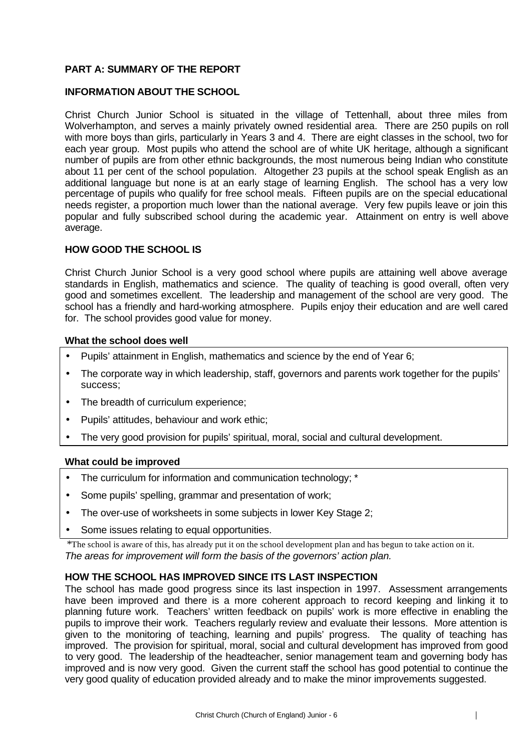## **PART A: SUMMARY OF THE REPORT**

#### **INFORMATION ABOUT THE SCHOOL**

Christ Church Junior School is situated in the village of Tettenhall, about three miles from Wolverhampton, and serves a mainly privately owned residential area. There are 250 pupils on roll with more boys than girls, particularly in Years 3 and 4. There are eight classes in the school, two for each year group. Most pupils who attend the school are of white UK heritage, although a significant number of pupils are from other ethnic backgrounds, the most numerous being Indian who constitute about 11 per cent of the school population. Altogether 23 pupils at the school speak English as an additional language but none is at an early stage of learning English. The school has a very low percentage of pupils who qualify for free school meals. Fifteen pupils are on the special educational needs register, a proportion much lower than the national average. Very few pupils leave or join this popular and fully subscribed school during the academic year. Attainment on entry is well above average.

#### **HOW GOOD THE SCHOOL IS**

Christ Church Junior School is a very good school where pupils are attaining well above average standards in English, mathematics and science. The quality of teaching is good overall, often very good and sometimes excellent. The leadership and management of the school are very good. The school has a friendly and hard-working atmosphere. Pupils enjoy their education and are well cared for. The school provides good value for money.

#### **What the school does well**

- Pupils' attainment in English, mathematics and science by the end of Year 6;
- The corporate way in which leadership, staff, governors and parents work together for the pupils' success;
- The breadth of curriculum experience;
- Pupils' attitudes, behaviour and work ethic;
- The very good provision for pupils' spiritual, moral, social and cultural development.

#### **What could be improved**

- The curriculum for information and communication technology; \*
- Some pupils' spelling, grammar and presentation of work;
- The over-use of worksheets in some subjects in lower Key Stage 2;
- Some issues relating to equal opportunities.

\*The school is aware of this, has already put it on the school development plan and has begun to take action on it. *The areas for improvement will form the basis of the governors' action plan.*

#### **HOW THE SCHOOL HAS IMPROVED SINCE ITS LAST INSPECTION**

The school has made good progress since its last inspection in 1997. Assessment arrangements have been improved and there is a more coherent approach to record keeping and linking it to planning future work. Teachers' written feedback on pupils' work is more effective in enabling the pupils to improve their work. Teachers regularly review and evaluate their lessons. More attention is given to the monitoring of teaching, learning and pupils' progress. The quality of teaching has improved. The provision for spiritual, moral, social and cultural development has improved from good to very good. The leadership of the headteacher, senior management team and governing body has improved and is now very good. Given the current staff the school has good potential to continue the very good quality of education provided already and to make the minor improvements suggested.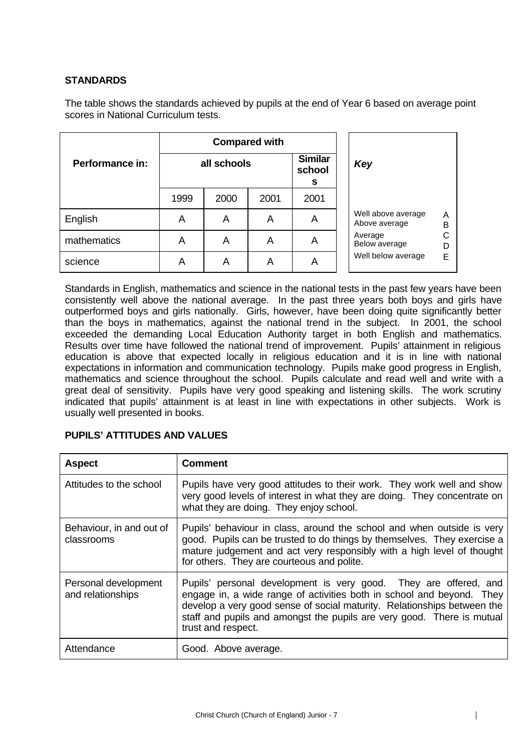# **STANDARDS**

The table shows the standards achieved by pupils at the end of Year 6 based on average point scores in National Curriculum tests.

|                 | <b>Compared with</b> |      |      |                               |  |                                               |  |  |
|-----------------|----------------------|------|------|-------------------------------|--|-----------------------------------------------|--|--|
| Performance in: | all schools          |      |      | <b>Similar</b><br>school<br>s |  | Key                                           |  |  |
|                 | 1999                 | 2000 | 2001 | 2001                          |  |                                               |  |  |
| English         | A                    | A    | A    | A                             |  | Well above average<br>A<br>Above average<br>B |  |  |
| mathematics     | A                    | A    | A    | A                             |  | С<br>Average<br>Below average<br>D            |  |  |
| science         | A                    | Α    | Α    | A                             |  | Well below average<br>Е                       |  |  |

Standards in English, mathematics and science in the national tests in the past few years have been consistently well above the national average. In the past three years both boys and girls have outperformed boys and girls nationally. Girls, however, have been doing quite significantly better than the boys in mathematics, against the national trend in the subject. In 2001, the school exceeded the demanding Local Education Authority target in both English and mathematics. Results over time have followed the national trend of improvement. Pupils' attainment in religious education is above that expected locally in religious education and it is in line with national expectations in information and communication technology. Pupils make good progress in English, mathematics and science throughout the school. Pupils calculate and read well and write with a great deal of sensitivity. Pupils have very good speaking and listening skills. The work scrutiny indicated that pupils' attainment is at least in line with expectations in other subjects. Work is usually well presented in books.

| <b>Aspect</b>                             | <b>Comment</b>                                                                                                                                                                                                                                                                                                       |
|-------------------------------------------|----------------------------------------------------------------------------------------------------------------------------------------------------------------------------------------------------------------------------------------------------------------------------------------------------------------------|
| Attitudes to the school                   | Pupils have very good attitudes to their work. They work well and show<br>very good levels of interest in what they are doing. They concentrate on<br>what they are doing. They enjoy school.                                                                                                                        |
| Behaviour, in and out of<br>classrooms    | Pupils' behaviour in class, around the school and when outside is very<br>good. Pupils can be trusted to do things by themselves. They exercise a<br>mature judgement and act very responsibly with a high level of thought<br>for others. They are courteous and polite.                                            |
| Personal development<br>and relationships | Pupils' personal development is very good. They are offered, and<br>engage in, a wide range of activities both in school and beyond. They<br>develop a very good sense of social maturity. Relationships between the<br>staff and pupils and amongst the pupils are very good. There is mutual<br>trust and respect. |
| Attendance                                | Good. Above average.                                                                                                                                                                                                                                                                                                 |

#### **PUPILS' ATTITUDES AND VALUES**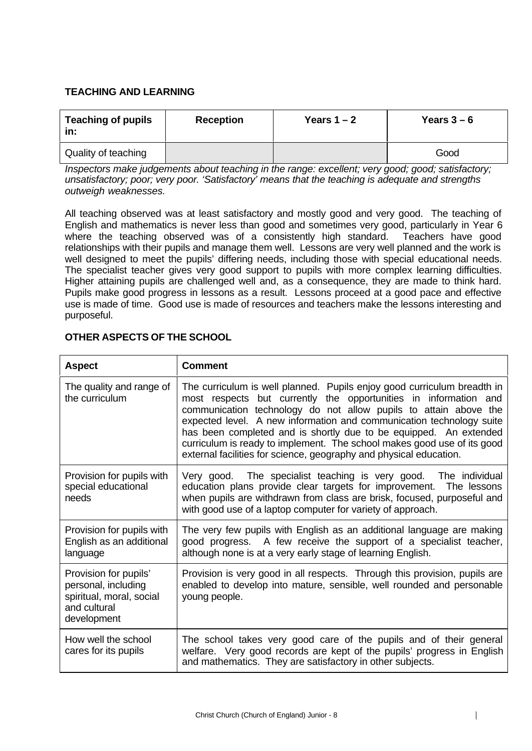# **TEACHING AND LEARNING**

| <b>Teaching of pupils</b><br>in: | <b>Reception</b> | Years $1 - 2$ | Years $3-6$ |  |
|----------------------------------|------------------|---------------|-------------|--|
| Quality of teaching              |                  |               | Good        |  |

*Inspectors make judgements about teaching in the range: excellent; very good; good; satisfactory; unsatisfactory; poor; very poor. 'Satisfactory' means that the teaching is adequate and strengths outweigh weaknesses.*

All teaching observed was at least satisfactory and mostly good and very good. The teaching of English and mathematics is never less than good and sometimes very good, particularly in Year 6 where the teaching observed was of a consistently high standard. Teachers have good relationships with their pupils and manage them well. Lessons are very well planned and the work is well designed to meet the pupils' differing needs, including those with special educational needs. The specialist teacher gives very good support to pupils with more complex learning difficulties. Higher attaining pupils are challenged well and, as a consequence, they are made to think hard. Pupils make good progress in lessons as a result. Lessons proceed at a good pace and effective use is made of time. Good use is made of resources and teachers make the lessons interesting and purposeful.

| <b>Aspect</b>                                                                                           | <b>Comment</b>                                                                                                                                                                                                                                                                                                                                                                                                                                                                                                |
|---------------------------------------------------------------------------------------------------------|---------------------------------------------------------------------------------------------------------------------------------------------------------------------------------------------------------------------------------------------------------------------------------------------------------------------------------------------------------------------------------------------------------------------------------------------------------------------------------------------------------------|
| The quality and range of<br>the curriculum                                                              | The curriculum is well planned. Pupils enjoy good curriculum breadth in<br>most respects but currently the opportunities in information and<br>communication technology do not allow pupils to attain above the<br>expected level. A new information and communication technology suite<br>has been completed and is shortly due to be equipped. An extended<br>curriculum is ready to implement. The school makes good use of its good<br>external facilities for science, geography and physical education. |
| Provision for pupils with<br>special educational<br>needs                                               | Very good. The specialist teaching is very good. The individual<br>education plans provide clear targets for improvement. The lessons<br>when pupils are withdrawn from class are brisk, focused, purposeful and<br>with good use of a laptop computer for variety of approach.                                                                                                                                                                                                                               |
| Provision for pupils with<br>English as an additional<br>language                                       | The very few pupils with English as an additional language are making<br>good progress. A few receive the support of a specialist teacher,<br>although none is at a very early stage of learning English.                                                                                                                                                                                                                                                                                                     |
| Provision for pupils'<br>personal, including<br>spiritual, moral, social<br>and cultural<br>development | Provision is very good in all respects. Through this provision, pupils are<br>enabled to develop into mature, sensible, well rounded and personable<br>young people.                                                                                                                                                                                                                                                                                                                                          |
| How well the school<br>cares for its pupils                                                             | The school takes very good care of the pupils and of their general<br>welfare. Very good records are kept of the pupils' progress in English<br>and mathematics. They are satisfactory in other subjects.                                                                                                                                                                                                                                                                                                     |

# **OTHER ASPECTS OF THE SCHOOL**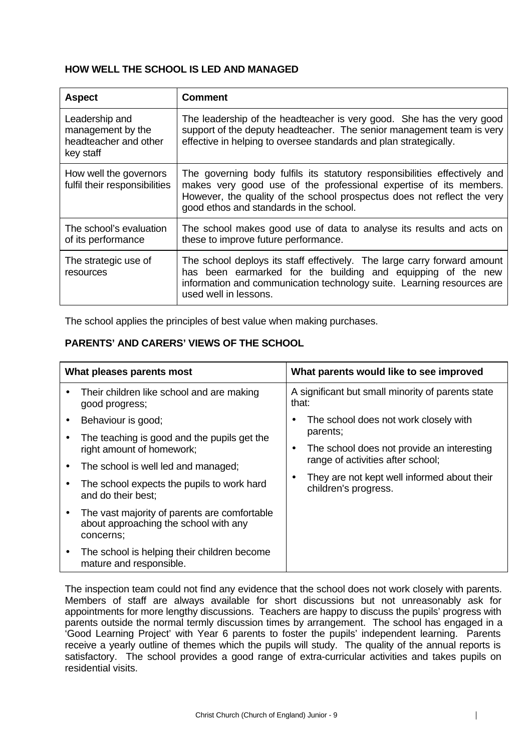# **HOW WELL THE SCHOOL IS LED AND MANAGED**

| <b>Aspect</b>                                                             | <b>Comment</b>                                                                                                                                                                                                                                                       |
|---------------------------------------------------------------------------|----------------------------------------------------------------------------------------------------------------------------------------------------------------------------------------------------------------------------------------------------------------------|
| Leadership and<br>management by the<br>headteacher and other<br>key staff | The leadership of the headteacher is very good. She has the very good<br>support of the deputy headteacher. The senior management team is very<br>effective in helping to oversee standards and plan strategically.                                                  |
| How well the governors<br>fulfil their responsibilities                   | The governing body fulfils its statutory responsibilities effectively and<br>makes very good use of the professional expertise of its members.<br>However, the quality of the school prospectus does not reflect the very<br>good ethos and standards in the school. |
| The school's evaluation<br>of its performance                             | The school makes good use of data to analyse its results and acts on<br>these to improve future performance.                                                                                                                                                         |
| The strategic use of<br>resources                                         | The school deploys its staff effectively. The large carry forward amount<br>has been earmarked for the building and equipping of the new<br>information and communication technology suite. Learning resources are<br>used well in lessons.                          |

The school applies the principles of best value when making purchases.

# **PARENTS' AND CARERS' VIEWS OF THE SCHOOL**

| What pleases parents most |                                                                                                    | What parents would like to see improved                                         |  |  |
|---------------------------|----------------------------------------------------------------------------------------------------|---------------------------------------------------------------------------------|--|--|
|                           | Their children like school and are making<br>good progress;                                        | A significant but small minority of parents state<br>that:                      |  |  |
|                           | Behaviour is good;                                                                                 | The school does not work closely with                                           |  |  |
|                           | The teaching is good and the pupils get the                                                        | parents;                                                                        |  |  |
|                           | right amount of homework;                                                                          | The school does not provide an interesting<br>range of activities after school; |  |  |
|                           | The school is well led and managed;                                                                |                                                                                 |  |  |
|                           | The school expects the pupils to work hard<br>and do their best;                                   | They are not kept well informed about their<br>children's progress.             |  |  |
|                           | The vast majority of parents are comfortable<br>about approaching the school with any<br>concerns: |                                                                                 |  |  |
|                           | The school is helping their children become<br>mature and responsible.                             |                                                                                 |  |  |

The inspection team could not find any evidence that the school does not work closely with parents. Members of staff are always available for short discussions but not unreasonably ask for appointments for more lengthy discussions. Teachers are happy to discuss the pupils' progress with parents outside the normal termly discussion times by arrangement. The school has engaged in a 'Good Learning Project' with Year 6 parents to foster the pupils' independent learning. Parents receive a yearly outline of themes which the pupils will study. The quality of the annual reports is satisfactory. The school provides a good range of extra-curricular activities and takes pupils on residential visits.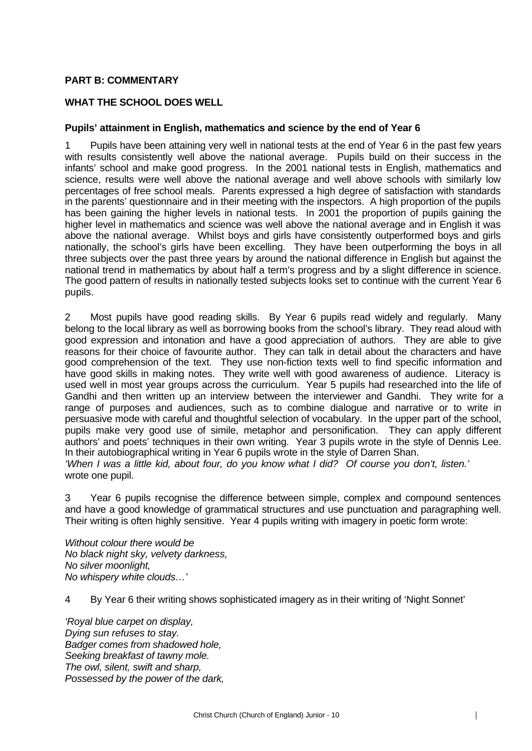#### **PART B: COMMENTARY**

# **WHAT THE SCHOOL DOES WELL**

#### **Pupils' attainment in English, mathematics and science by the end of Year 6**

1 Pupils have been attaining very well in national tests at the end of Year 6 in the past few years with results consistently well above the national average. Pupils build on their success in the infants' school and make good progress. In the 2001 national tests in English, mathematics and science, results were well above the national average and well above schools with similarly low percentages of free school meals. Parents expressed a high degree of satisfaction with standards in the parents' questionnaire and in their meeting with the inspectors. A high proportion of the pupils has been gaining the higher levels in national tests. In 2001 the proportion of pupils gaining the higher level in mathematics and science was well above the national average and in English it was above the national average. Whilst boys and girls have consistently outperformed boys and girls nationally, the school's girls have been excelling. They have been outperforming the boys in all three subjects over the past three years by around the national difference in English but against the national trend in mathematics by about half a term's progress and by a slight difference in science. The good pattern of results in nationally tested subjects looks set to continue with the current Year 6 pupils.

2 Most pupils have good reading skills. By Year 6 pupils read widely and regularly. Many belong to the local library as well as borrowing books from the school's library. They read aloud with good expression and intonation and have a good appreciation of authors. They are able to give reasons for their choice of favourite author. They can talk in detail about the characters and have good comprehension of the text. They use non-fiction texts well to find specific information and have good skills in making notes. They write well with good awareness of audience. Literacy is used well in most year groups across the curriculum. Year 5 pupils had researched into the life of Gandhi and then written up an interview between the interviewer and Gandhi. They write for a range of purposes and audiences, such as to combine dialogue and narrative or to write in persuasive mode with careful and thoughtful selection of vocabulary. In the upper part of the school, pupils make very good use of simile, metaphor and personification. They can apply different authors' and poets' techniques in their own writing. Year 3 pupils wrote in the style of Dennis Lee. In their autobiographical writing in Year 6 pupils wrote in the style of Darren Shan. *'When I was a little kid, about four, do you know what I did? Of course you don't, listen.'* wrote one pupil.

3 Year 6 pupils recognise the difference between simple, complex and compound sentences and have a good knowledge of grammatical structures and use punctuation and paragraphing well. Their writing is often highly sensitive. Year 4 pupils writing with imagery in poetic form wrote:

*Without colour there would be No black night sky, velvety darkness, No silver moonlight, No whispery white clouds…'*

4 By Year 6 their writing shows sophisticated imagery as in their writing of 'Night Sonnet'

*'Royal blue carpet on display, Dying sun refuses to stay. Badger comes from shadowed hole, Seeking breakfast of tawny mole. The owl, silent, swift and sharp, Possessed by the power of the dark,*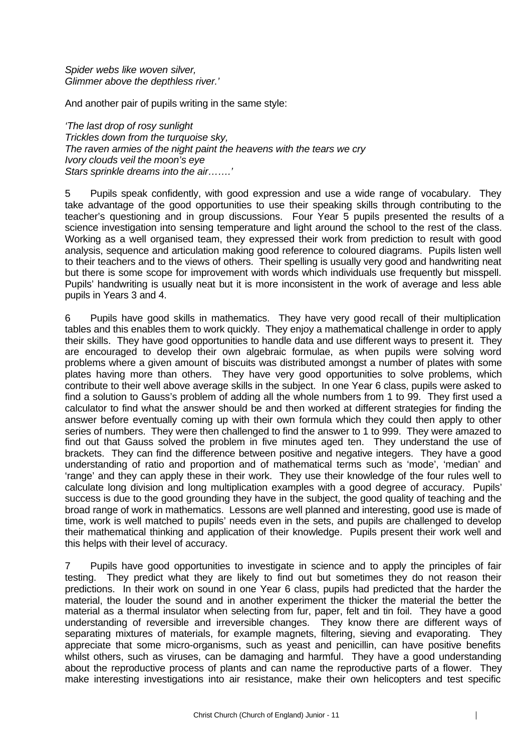*Spider webs like woven silver, Glimmer above the depthless river.'*

And another pair of pupils writing in the same style:

*'The last drop of rosy sunlight Trickles down from the turquoise sky, The raven armies of the night paint the heavens with the tears we cry Ivory clouds veil the moon's eye Stars sprinkle dreams into the air…….'*

5 Pupils speak confidently, with good expression and use a wide range of vocabulary. They take advantage of the good opportunities to use their speaking skills through contributing to the teacher's questioning and in group discussions. Four Year 5 pupils presented the results of a science investigation into sensing temperature and light around the school to the rest of the class. Working as a well organised team, they expressed their work from prediction to result with good analysis, sequence and articulation making good reference to coloured diagrams. Pupils listen well to their teachers and to the views of others. Their spelling is usually very good and handwriting neat but there is some scope for improvement with words which individuals use frequently but misspell. Pupils' handwriting is usually neat but it is more inconsistent in the work of average and less able pupils in Years 3 and 4.

6 Pupils have good skills in mathematics. They have very good recall of their multiplication tables and this enables them to work quickly. They enjoy a mathematical challenge in order to apply their skills. They have good opportunities to handle data and use different ways to present it. They are encouraged to develop their own algebraic formulae, as when pupils were solving word problems where a given amount of biscuits was distributed amongst a number of plates with some plates having more than others. They have very good opportunities to solve problems, which contribute to their well above average skills in the subject. In one Year 6 class, pupils were asked to find a solution to Gauss's problem of adding all the whole numbers from 1 to 99. They first used a calculator to find what the answer should be and then worked at different strategies for finding the answer before eventually coming up with their own formula which they could then apply to other series of numbers. They were then challenged to find the answer to 1 to 999. They were amazed to find out that Gauss solved the problem in five minutes aged ten. They understand the use of brackets. They can find the difference between positive and negative integers. They have a good understanding of ratio and proportion and of mathematical terms such as 'mode', 'median' and 'range' and they can apply these in their work. They use their knowledge of the four rules well to calculate long division and long multiplication examples with a good degree of accuracy. Pupils' success is due to the good grounding they have in the subject, the good quality of teaching and the broad range of work in mathematics. Lessons are well planned and interesting, good use is made of time, work is well matched to pupils' needs even in the sets, and pupils are challenged to develop their mathematical thinking and application of their knowledge. Pupils present their work well and this helps with their level of accuracy.

7 Pupils have good opportunities to investigate in science and to apply the principles of fair testing. They predict what they are likely to find out but sometimes they do not reason their predictions. In their work on sound in one Year 6 class, pupils had predicted that the harder the material, the louder the sound and in another experiment the thicker the material the better the material as a thermal insulator when selecting from fur, paper, felt and tin foil. They have a good understanding of reversible and irreversible changes. They know there are different ways of separating mixtures of materials, for example magnets, filtering, sieving and evaporating. They appreciate that some micro-organisms, such as yeast and penicillin, can have positive benefits whilst others, such as viruses, can be damaging and harmful. They have a good understanding about the reproductive process of plants and can name the reproductive parts of a flower. They make interesting investigations into air resistance, make their own helicopters and test specific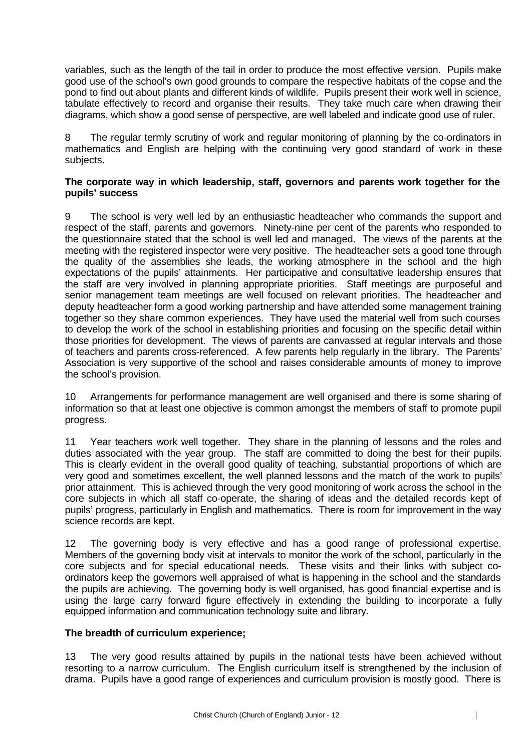variables, such as the length of the tail in order to produce the most effective version. Pupils make good use of the school's own good grounds to compare the respective habitats of the copse and the pond to find out about plants and different kinds of wildlife. Pupils present their work well in science, tabulate effectively to record and organise their results. They take much care when drawing their diagrams, which show a good sense of perspective, are well labeled and indicate good use of ruler.

8 The regular termly scrutiny of work and regular monitoring of planning by the co-ordinators in mathematics and English are helping with the continuing very good standard of work in these subjects.

#### **The corporate way in which leadership, staff, governors and parents work together for the pupils' success**

9 The school is very well led by an enthusiastic headteacher who commands the support and respect of the staff, parents and governors. Ninety-nine per cent of the parents who responded to the questionnaire stated that the school is well led and managed. The views of the parents at the meeting with the registered inspector were very positive. The headteacher sets a good tone through the quality of the assemblies she leads, the working atmosphere in the school and the high expectations of the pupils' attainments. Her participative and consultative leadership ensures that the staff are very involved in planning appropriate priorities. Staff meetings are purposeful and senior management team meetings are well focused on relevant priorities. The headteacher and deputy headteacher form a good working partnership and have attended some management training together so they share common experiences. They have used the material well from such courses to develop the work of the school in establishing priorities and focusing on the specific detail within those priorities for development. The views of parents are canvassed at regular intervals and those of teachers and parents cross-referenced. A few parents help regularly in the library. The Parents' Association is very supportive of the school and raises considerable amounts of money to improve the school's provision.

10 Arrangements for performance management are well organised and there is some sharing of information so that at least one objective is common amongst the members of staff to promote pupil progress.

11 Year teachers work well together. They share in the planning of lessons and the roles and duties associated with the year group. The staff are committed to doing the best for their pupils. This is clearly evident in the overall good quality of teaching, substantial proportions of which are very good and sometimes excellent, the well planned lessons and the match of the work to pupils' prior attainment. This is achieved through the very good monitoring of work across the school in the core subjects in which all staff co-operate, the sharing of ideas and the detailed records kept of pupils' progress, particularly in English and mathematics. There is room for improvement in the way science records are kept.

12 The governing body is very effective and has a good range of professional expertise. Members of the governing body visit at intervals to monitor the work of the school, particularly in the core subjects and for special educational needs. These visits and their links with subject coordinators keep the governors well appraised of what is happening in the school and the standards the pupils are achieving. The governing body is well organised, has good financial expertise and is using the large carry forward figure effectively in extending the building to incorporate a fully equipped information and communication technology suite and library.

#### **The breadth of curriculum experience;**

13 The very good results attained by pupils in the national tests have been achieved without resorting to a narrow curriculum. The English curriculum itself is strengthened by the inclusion of drama. Pupils have a good range of experiences and curriculum provision is mostly good. There is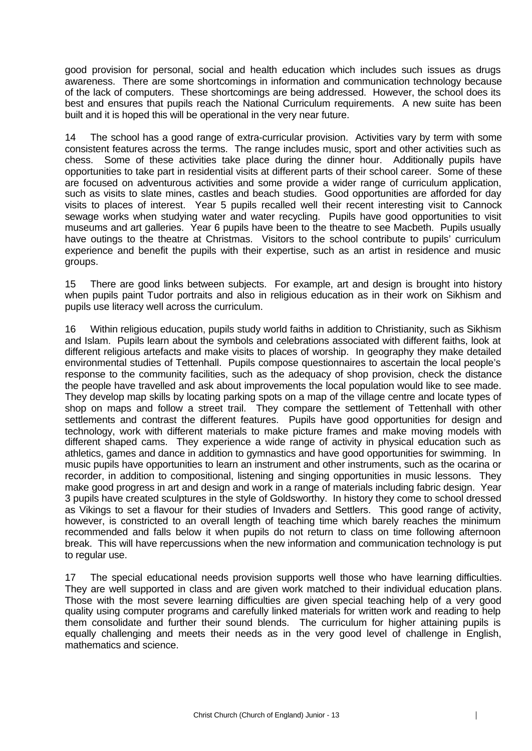good provision for personal, social and health education which includes such issues as drugs awareness. There are some shortcomings in information and communication technology because of the lack of computers. These shortcomings are being addressed. However, the school does its best and ensures that pupils reach the National Curriculum requirements. A new suite has been built and it is hoped this will be operational in the very near future.

14 The school has a good range of extra-curricular provision. Activities vary by term with some consistent features across the terms. The range includes music, sport and other activities such as chess. Some of these activities take place during the dinner hour. Additionally pupils have opportunities to take part in residential visits at different parts of their school career. Some of these are focused on adventurous activities and some provide a wider range of curriculum application, such as visits to slate mines, castles and beach studies. Good opportunities are afforded for day visits to places of interest. Year 5 pupils recalled well their recent interesting visit to Cannock sewage works when studying water and water recycling. Pupils have good opportunities to visit museums and art galleries. Year 6 pupils have been to the theatre to see Macbeth. Pupils usually have outings to the theatre at Christmas. Visitors to the school contribute to pupils' curriculum experience and benefit the pupils with their expertise, such as an artist in residence and music groups.

15 There are good links between subjects. For example, art and design is brought into history when pupils paint Tudor portraits and also in religious education as in their work on Sikhism and pupils use literacy well across the curriculum.

16 Within religious education, pupils study world faiths in addition to Christianity, such as Sikhism and Islam. Pupils learn about the symbols and celebrations associated with different faiths, look at different religious artefacts and make visits to places of worship. In geography they make detailed environmental studies of Tettenhall. Pupils compose questionnaires to ascertain the local people's response to the community facilities, such as the adequacy of shop provision, check the distance the people have travelled and ask about improvements the local population would like to see made. They develop map skills by locating parking spots on a map of the village centre and locate types of shop on maps and follow a street trail. They compare the settlement of Tettenhall with other settlements and contrast the different features. Pupils have good opportunities for design and technology, work with different materials to make picture frames and make moving models with different shaped cams. They experience a wide range of activity in physical education such as athletics, games and dance in addition to gymnastics and have good opportunities for swimming. In music pupils have opportunities to learn an instrument and other instruments, such as the ocarina or recorder, in addition to compositional, listening and singing opportunities in music lessons. They make good progress in art and design and work in a range of materials including fabric design. Year 3 pupils have created sculptures in the style of Goldsworthy. In history they come to school dressed as Vikings to set a flavour for their studies of Invaders and Settlers. This good range of activity, however, is constricted to an overall length of teaching time which barely reaches the minimum recommended and falls below it when pupils do not return to class on time following afternoon break. This will have repercussions when the new information and communication technology is put to regular use.

17 The special educational needs provision supports well those who have learning difficulties. They are well supported in class and are given work matched to their individual education plans. Those with the most severe learning difficulties are given special teaching help of a very good quality using computer programs and carefully linked materials for written work and reading to help them consolidate and further their sound blends. The curriculum for higher attaining pupils is equally challenging and meets their needs as in the very good level of challenge in English, mathematics and science.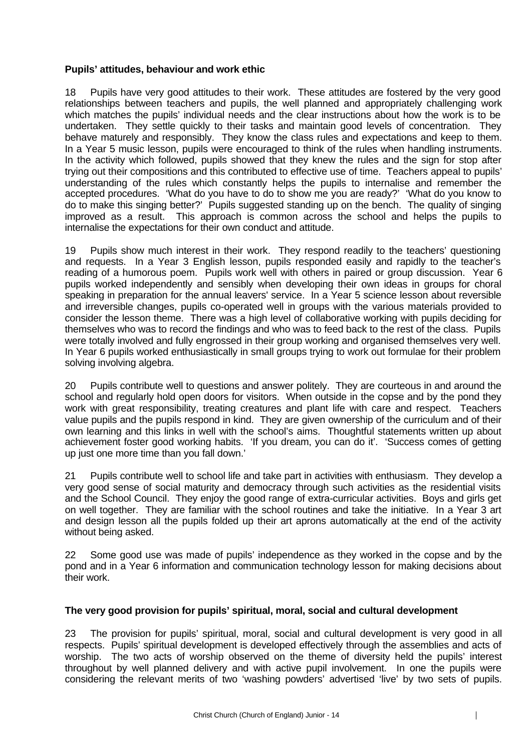#### **Pupils' attitudes, behaviour and work ethic**

18 Pupils have very good attitudes to their work. These attitudes are fostered by the very good relationships between teachers and pupils, the well planned and appropriately challenging work which matches the pupils' individual needs and the clear instructions about how the work is to be undertaken. They settle quickly to their tasks and maintain good levels of concentration. They behave maturely and responsibly. They know the class rules and expectations and keep to them. In a Year 5 music lesson, pupils were encouraged to think of the rules when handling instruments. In the activity which followed, pupils showed that they knew the rules and the sign for stop after trying out their compositions and this contributed to effective use of time. Teachers appeal to pupils' understanding of the rules which constantly helps the pupils to internalise and remember the accepted procedures. 'What do you have to do to show me you are ready?' 'What do you know to do to make this singing better?' Pupils suggested standing up on the bench. The quality of singing improved as a result. This approach is common across the school and helps the pupils to internalise the expectations for their own conduct and attitude.

19 Pupils show much interest in their work. They respond readily to the teachers' questioning and requests. In a Year 3 English lesson, pupils responded easily and rapidly to the teacher's reading of a humorous poem. Pupils work well with others in paired or group discussion. Year 6 pupils worked independently and sensibly when developing their own ideas in groups for choral speaking in preparation for the annual leavers' service. In a Year 5 science lesson about reversible and irreversible changes, pupils co-operated well in groups with the various materials provided to consider the lesson theme. There was a high level of collaborative working with pupils deciding for themselves who was to record the findings and who was to feed back to the rest of the class. Pupils were totally involved and fully engrossed in their group working and organised themselves very well. In Year 6 pupils worked enthusiastically in small groups trying to work out formulae for their problem solving involving algebra.

20 Pupils contribute well to questions and answer politely. They are courteous in and around the school and regularly hold open doors for visitors. When outside in the copse and by the pond they work with great responsibility, treating creatures and plant life with care and respect. Teachers value pupils and the pupils respond in kind. They are given ownership of the curriculum and of their own learning and this links in well with the school's aims. Thoughtful statements written up about achievement foster good working habits. 'If you dream, you can do it'. 'Success comes of getting up just one more time than you fall down.'

21 Pupils contribute well to school life and take part in activities with enthusiasm. They develop a very good sense of social maturity and democracy through such activities as the residential visits and the School Council. They enjoy the good range of extra-curricular activities. Boys and girls get on well together. They are familiar with the school routines and take the initiative. In a Year 3 art and design lesson all the pupils folded up their art aprons automatically at the end of the activity without being asked.

22 Some good use was made of pupils' independence as they worked in the copse and by the pond and in a Year 6 information and communication technology lesson for making decisions about their work.

#### **The very good provision for pupils' spiritual, moral, social and cultural development**

23 The provision for pupils' spiritual, moral, social and cultural development is very good in all respects. Pupils' spiritual development is developed effectively through the assemblies and acts of worship. The two acts of worship observed on the theme of diversity held the pupils' interest throughout by well planned delivery and with active pupil involvement. In one the pupils were considering the relevant merits of two 'washing powders' advertised 'live' by two sets of pupils.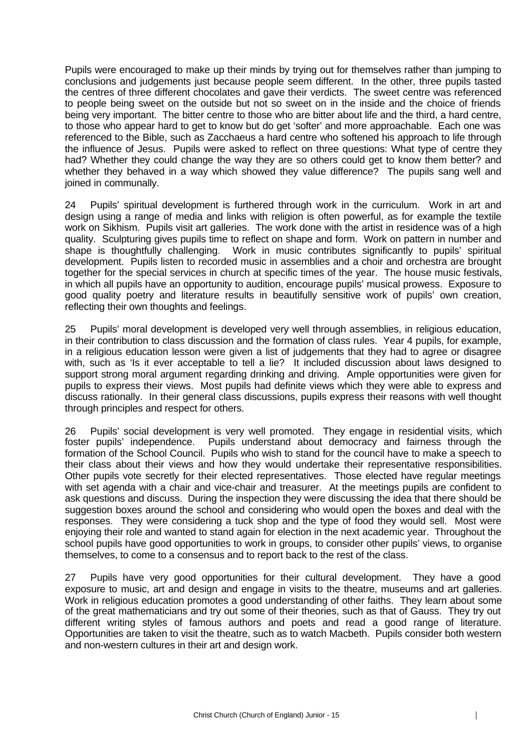Pupils were encouraged to make up their minds by trying out for themselves rather than jumping to conclusions and judgements just because people seem different. In the other, three pupils tasted the centres of three different chocolates and gave their verdicts. The sweet centre was referenced to people being sweet on the outside but not so sweet on in the inside and the choice of friends being very important. The bitter centre to those who are bitter about life and the third, a hard centre, to those who appear hard to get to know but do get 'softer' and more approachable. Each one was referenced to the Bible, such as Zacchaeus a hard centre who softened his approach to life through the influence of Jesus. Pupils were asked to reflect on three questions: What type of centre they had? Whether they could change the way they are so others could get to know them better? and whether they behaved in a way which showed they value difference? The pupils sang well and joined in communally.

24 Pupils' spiritual development is furthered through work in the curriculum. Work in art and design using a range of media and links with religion is often powerful, as for example the textile work on Sikhism. Pupils visit art galleries. The work done with the artist in residence was of a high quality. Sculpturing gives pupils time to reflect on shape and form. Work on pattern in number and shape is thoughtfully challenging. Work in music contributes significantly to pupils' spiritual development. Pupils listen to recorded music in assemblies and a choir and orchestra are brought together for the special services in church at specific times of the year. The house music festivals, in which all pupils have an opportunity to audition, encourage pupils' musical prowess. Exposure to good quality poetry and literature results in beautifully sensitive work of pupils' own creation, reflecting their own thoughts and feelings.

25 Pupils' moral development is developed very well through assemblies, in religious education, in their contribution to class discussion and the formation of class rules. Year 4 pupils, for example, in a religious education lesson were given a list of judgements that they had to agree or disagree with, such as 'Is it ever acceptable to tell a lie? It included discussion about laws designed to support strong moral argument regarding drinking and driving. Ample opportunities were given for pupils to express their views. Most pupils had definite views which they were able to express and discuss rationally. In their general class discussions, pupils express their reasons with well thought through principles and respect for others.

26 Pupils' social development is very well promoted. They engage in residential visits, which foster pupils' independence. Pupils understand about democracy and fairness through the formation of the School Council. Pupils who wish to stand for the council have to make a speech to their class about their views and how they would undertake their representative responsibilities. Other pupils vote secretly for their elected representatives. Those elected have regular meetings with set agenda with a chair and vice-chair and treasurer. At the meetings pupils are confident to ask questions and discuss. During the inspection they were discussing the idea that there should be suggestion boxes around the school and considering who would open the boxes and deal with the responses. They were considering a tuck shop and the type of food they would sell. Most were enjoying their role and wanted to stand again for election in the next academic year. Throughout the school pupils have good opportunities to work in groups, to consider other pupils' views, to organise themselves, to come to a consensus and to report back to the rest of the class.

27 Pupils have very good opportunities for their cultural development. They have a good exposure to music, art and design and engage in visits to the theatre, museums and art galleries. Work in religious education promotes a good understanding of other faiths. They learn about some of the great mathematicians and try out some of their theories, such as that of Gauss. They try out different writing styles of famous authors and poets and read a good range of literature. Opportunities are taken to visit the theatre, such as to watch Macbeth. Pupils consider both western and non-western cultures in their art and design work.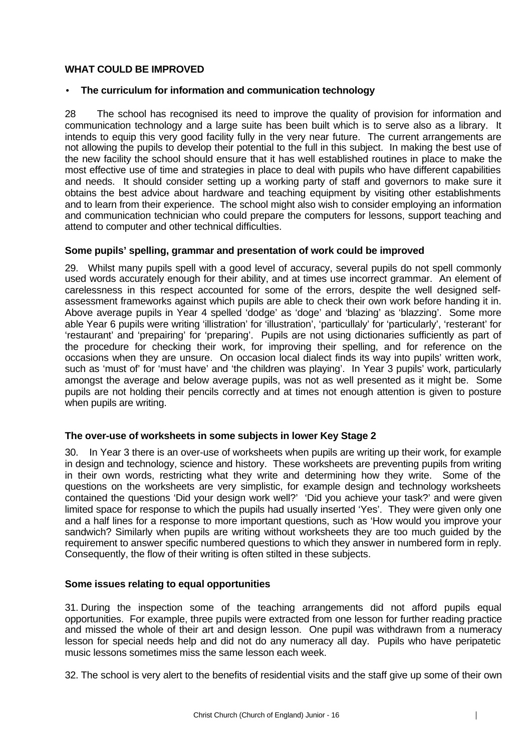#### **WHAT COULD BE IMPROVED**

#### • **The curriculum for information and communication technology**

28 The school has recognised its need to improve the quality of provision for information and communication technology and a large suite has been built which is to serve also as a library. It intends to equip this very good facility fully in the very near future. The current arrangements are not allowing the pupils to develop their potential to the full in this subject. In making the best use of the new facility the school should ensure that it has well established routines in place to make the most effective use of time and strategies in place to deal with pupils who have different capabilities and needs. It should consider setting up a working party of staff and governors to make sure it obtains the best advice about hardware and teaching equipment by visiting other establishments and to learn from their experience. The school might also wish to consider employing an information and communication technician who could prepare the computers for lessons, support teaching and attend to computer and other technical difficulties.

# **Some pupils' spelling, grammar and presentation of work could be improved**

29. Whilst many pupils spell with a good level of accuracy, several pupils do not spell commonly used words accurately enough for their ability, and at times use incorrect grammar. An element of carelessness in this respect accounted for some of the errors, despite the well designed selfassessment frameworks against which pupils are able to check their own work before handing it in. Above average pupils in Year 4 spelled 'dodge' as 'doge' and 'blazing' as 'blazzing'. Some more able Year 6 pupils were writing 'illistration' for 'illustration', 'particullaly' for 'particularly', 'resterant' for 'restaurant' and 'prepairing' for 'preparing'. Pupils are not using dictionaries sufficiently as part of the procedure for checking their work, for improving their spelling, and for reference on the occasions when they are unsure. On occasion local dialect finds its way into pupils' written work, such as 'must of' for 'must have' and 'the children was playing'. In Year 3 pupils' work, particularly amongst the average and below average pupils, was not as well presented as it might be. Some pupils are not holding their pencils correctly and at times not enough attention is given to posture when pupils are writing.

#### **The over-use of worksheets in some subjects in lower Key Stage 2**

30. In Year 3 there is an over-use of worksheets when pupils are writing up their work, for example in design and technology, science and history. These worksheets are preventing pupils from writing in their own words, restricting what they write and determining how they write. Some of the questions on the worksheets are very simplistic, for example design and technology worksheets contained the questions 'Did your design work well?' 'Did you achieve your task?' and were given limited space for response to which the pupils had usually inserted 'Yes'. They were given only one and a half lines for a response to more important questions, such as 'How would you improve your sandwich? Similarly when pupils are writing without worksheets they are too much guided by the requirement to answer specific numbered questions to which they answer in numbered form in reply. Consequently, the flow of their writing is often stilted in these subjects.

#### **Some issues relating to equal opportunities**

31. During the inspection some of the teaching arrangements did not afford pupils equal opportunities. For example, three pupils were extracted from one lesson for further reading practice and missed the whole of their art and design lesson. One pupil was withdrawn from a numeracy lesson for special needs help and did not do any numeracy all day. Pupils who have peripatetic music lessons sometimes miss the same lesson each week.

32. The school is very alert to the benefits of residential visits and the staff give up some of their own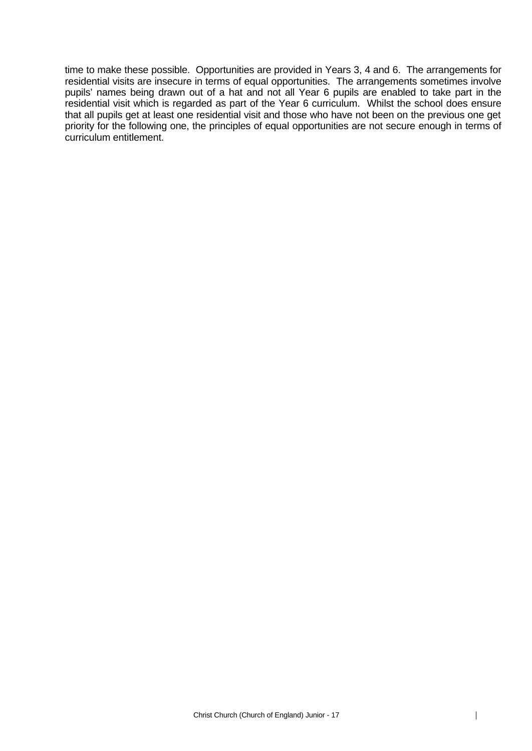time to make these possible. Opportunities are provided in Years 3, 4 and 6. The arrangements for residential visits are insecure in terms of equal opportunities. The arrangements sometimes involve pupils' names being drawn out of a hat and not all Year 6 pupils are enabled to take part in the residential visit which is regarded as part of the Year 6 curriculum. Whilst the school does ensure that all pupils get at least one residential visit and those who have not been on the previous one get priority for the following one, the principles of equal opportunities are not secure enough in terms of curriculum entitlement.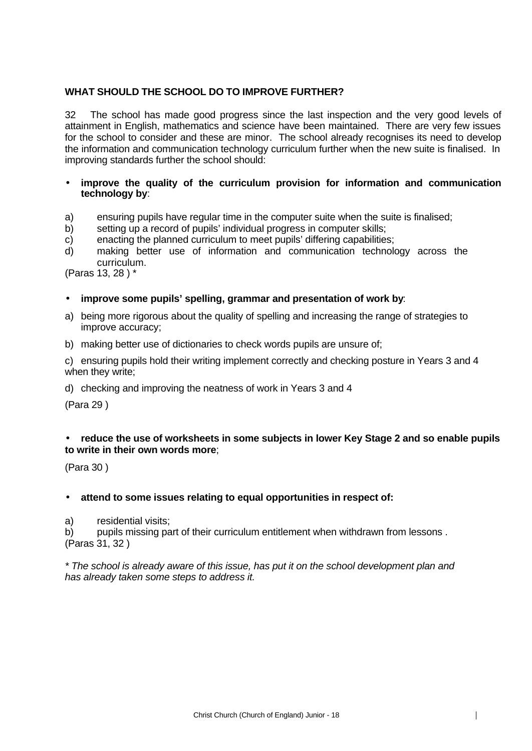# **WHAT SHOULD THE SCHOOL DO TO IMPROVE FURTHER?**

32 The school has made good progress since the last inspection and the very good levels of attainment in English, mathematics and science have been maintained. There are very few issues for the school to consider and these are minor. The school already recognises its need to develop the information and communication technology curriculum further when the new suite is finalised. In improving standards further the school should:

#### • **improve the quality of the curriculum provision for information and communication technology by**:

- a) ensuring pupils have regular time in the computer suite when the suite is finalised;
- b) setting up a record of pupils' individual progress in computer skills;
- c) enacting the planned curriculum to meet pupils' differing capabilities;
- d) making better use of information and communication technology across the curriculum.

(Paras 13, 28 ) \*

#### • **improve some pupils' spelling, grammar and presentation of work by**:

- a) being more rigorous about the quality of spelling and increasing the range of strategies to improve accuracy;
- b) making better use of dictionaries to check words pupils are unsure of;

c) ensuring pupils hold their writing implement correctly and checking posture in Years 3 and 4 when they write;

d) checking and improving the neatness of work in Years 3 and 4

(Para 29 )

# • **reduce the use of worksheets in some subjects in lower Key Stage 2 and so enable pupils to write in their own words more**;

(Para 30 )

#### • **attend to some issues relating to equal opportunities in respect of:**

a) residential visits;

b) pupils missing part of their curriculum entitlement when withdrawn from lessons . (Paras 31, 32 )

*\* The school is already aware of this issue, has put it on the school development plan and has already taken some steps to address it.*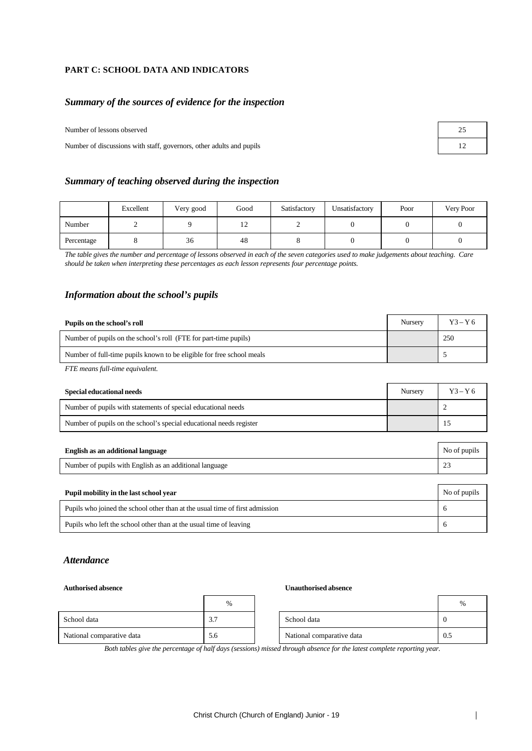#### **PART C: SCHOOL DATA AND INDICATORS**

#### *Summary of the sources of evidence for the inspection*

Number of lessons observed

Number of discussions with staff, governors, other adults and pupils

| 25 |  |
|----|--|
| 12 |  |

#### *Summary of teaching observed during the inspection*

|            | Excellent | Very good | Good          | Satisfactory | Unsatisfactory | Poor | Very Poor |
|------------|-----------|-----------|---------------|--------------|----------------|------|-----------|
| Number     |           |           | $\frac{1}{2}$ |              |                |      |           |
| Percentage |           | 36        | 48            |              |                |      |           |

*The table gives the number and percentage of lessons observed in each of the seven categories used to make judgements about teaching. Care should be taken when interpreting these percentages as each lesson represents four percentage points.*

#### *Information about the school's pupils*

| Pupils on the school's roll                                           | Nursery | $Y3 - Y6$ |
|-----------------------------------------------------------------------|---------|-----------|
| Number of pupils on the school's roll (FTE for part-time pupils)      |         | 250       |
| Number of full-time pupils known to be eligible for free school meals |         |           |

*FTE means full-time equivalent.*

| Special educational needs                                           | Nursery | $Y3 - Y6$ |
|---------------------------------------------------------------------|---------|-----------|
| Number of pupils with statements of special educational needs       |         |           |
| Number of pupils on the school's special educational needs register |         |           |

| English as an additional language                                            | No of pupils |
|------------------------------------------------------------------------------|--------------|
| Number of pupils with English as an additional language                      | 23           |
|                                                                              |              |
| Pupil mobility in the last school year                                       | No of pupils |
|                                                                              |              |
| Pupils who joined the school other than at the usual time of first admission | $\sigma$     |

#### *Attendance*

#### **Authorised absence Unauthorised absence**

|                           | $\%$                              |                           | %   |
|---------------------------|-----------------------------------|---------------------------|-----|
| School data               | $\sim$ $\sim$<br>$\mathfrak{I}$ . | School data               |     |
| National comparative data | 5.6                               | National comparative data | 0.5 |

*Both tables give the percentage of half days (sessions) missed through absence for the latest complete reporting year.*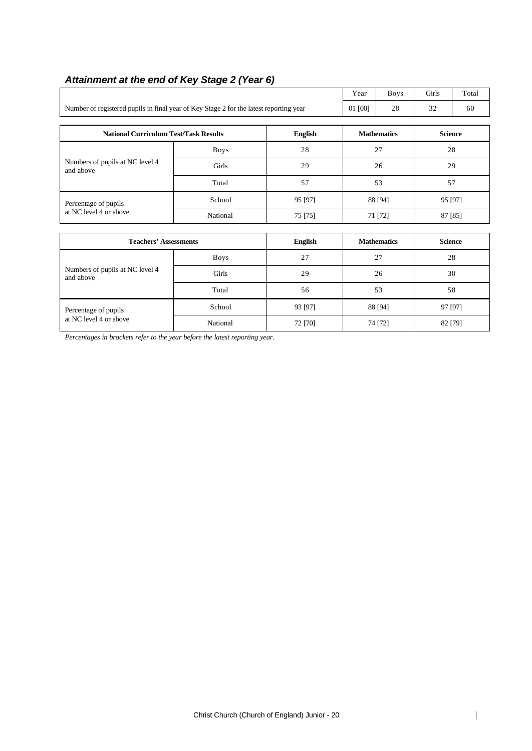|                                                                                        | Year        | <b>Boys</b>        | Girls   | Total              |                |                |  |
|----------------------------------------------------------------------------------------|-------------|--------------------|---------|--------------------|----------------|----------------|--|
| Number of registered pupils in final year of Key Stage 2 for the latest reporting year | 01 [00]     | 28                 | 32      | 60                 |                |                |  |
|                                                                                        |             |                    |         |                    |                |                |  |
| <b>National Curriculum Test/Task Results</b><br><b>English</b>                         |             |                    |         | <b>Mathematics</b> |                | <b>Science</b> |  |
|                                                                                        | <b>Boys</b> | 28                 | 27      |                    | 28             |                |  |
| Numbers of pupils at NC level 4<br>and above                                           | Girls       | 29                 |         | 26                 | 29             |                |  |
|                                                                                        | Total       | 57                 |         | 53                 | 57             |                |  |
| Percentage of pupils                                                                   | School      | 95 [97]            | 88 [94] |                    | 95 [97]        |                |  |
| at NC level 4 or above                                                                 | National    | 75 [75]            | 71 [72] |                    | 87 [85]        |                |  |
|                                                                                        |             |                    |         |                    |                |                |  |
| <b>Teachers' Assessments</b>                                                           |             | <b>English</b>     |         | <b>Mathematics</b> | <b>Science</b> |                |  |
|                                                                                        | <b>Boys</b> | 27                 | 27      |                    | 28             |                |  |
| Numbers of pupils at NC level 4<br>and above                                           | Girls       | 29                 |         | 26                 | 30             |                |  |
|                                                                                        | Total       | 56                 |         | 53<br>58           |                |                |  |
| Percentage of pupils<br>at NC level 4 or above                                         | School      | 93 [97]<br>88 [94] |         |                    | 97 [97]        |                |  |
|                                                                                        | National    | 72 [70]            |         | 74 [72]            | 82 [79]        |                |  |

# *Attainment at the end of Key Stage 2 (Year 6)*

*Percentages in brackets refer to the year before the latest reporting year.*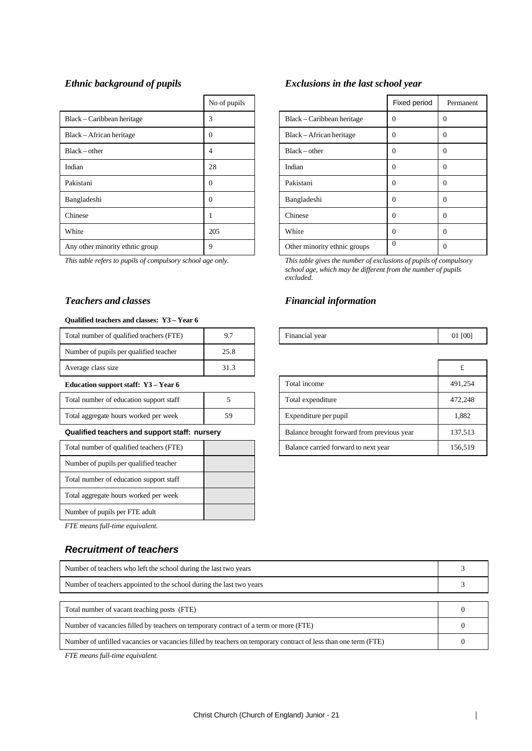|                                 | No of pupils |                              | Fixed period |                |
|---------------------------------|--------------|------------------------------|--------------|----------------|
| Black – Caribbean heritage      | 3            | Black – Caribbean heritage   | $\Omega$     | $\theta$       |
| Black – African heritage        | $\Omega$     | Black – African heritage     | $\Omega$     | $\theta$       |
| $Black - other$                 | 4            | $Black - other$              | $\Omega$     | $\overline{0}$ |
| Indian                          | 28           | Indian                       | $\Omega$     | $\overline{0}$ |
| Pakistani                       | $\Omega$     | Pakistani                    | $\Omega$     | $\theta$       |
| Bangladeshi                     | $\Omega$     | Bangladeshi                  | $\Omega$     | $\overline{0}$ |
| Chinese                         |              | Chinese                      | $\theta$     | $\theta$       |
| White                           | 205          | White                        | $\theta$     | $\theta$       |
| Any other minority ethnic group | 9            | Other minority ethnic groups | $\theta$     | $\theta$       |

#### **Qualified teachers and classes: Y3 – Year 6**

| Total number of qualified teachers (FTE)      | 9.7  | Financial year                             |         |
|-----------------------------------------------|------|--------------------------------------------|---------|
| Number of pupils per qualified teacher        | 25.8 |                                            |         |
| Average class size                            | 31.3 |                                            | £       |
| Education support staff: Y3 – Year 6          |      | Total income                               | 491,254 |
| Total number of education support staff       | 5    | Total expenditure                          | 472,248 |
| Total aggregate hours worked per week         | 59   | Expenditure per pupil                      | 1,882   |
| Qualified teachers and support staff: nursery |      | Balance brought forward from previous year | 137,513 |
| Total number of qualified teachers (FTE)      |      | Balance carried forward to next year       | 156,519 |
| Number of pupils per qualified teacher        |      |                                            |         |
| Total number of education support staff       |      |                                            |         |
| Total aggregate hours worked per week         |      |                                            |         |
| Number of pupils per FTE adult                |      |                                            |         |

*FTE means full-time equivalent.*

#### *Recruitment of teachers*

# Number of teachers who left the school during the last two years 3 Number of teachers appointed to the school during the last two years 3 Total number of vacant teaching posts (FTE) 0 Number of vacancies filled by teachers on temporary contract of a term or more (FTE) 0 Number of unfilled vacancies or vacancies filled by teachers on temporary contract of less than one term (FTE) 0

*FTE means full-time equivalent.*

#### *Ethnic background of pupils Exclusions in the last school year*

| No of pupils |                              | Fixed period | Permanent    |
|--------------|------------------------------|--------------|--------------|
| 3            | Black - Caribbean heritage   | $\Omega$     | $\Omega$     |
| 0            | Black – African heritage     | $\Omega$     | $\mathbf{0}$ |
| 4            | $Black - other$              | $\Omega$     | $\Omega$     |
| 28           | Indian                       | $\Omega$     | $\Omega$     |
| 0            | Pakistani                    | $\Omega$     | $\Omega$     |
| 0            | Bangladeshi                  | $\Omega$     | $\Omega$     |
| 1            | Chinese                      | $\Omega$     | $\Omega$     |
| 205          | White                        | $\Omega$     | $\theta$     |
| 9            | Other minority ethnic groups | $\Omega$     | $\mathbf{0}$ |

*This table refers to pupils of compulsory school age only. This table gives the number of exclusions of pupils of compulsory school age, which may be different from the number of pupils excluded.*

#### *Teachers and classes Financial information*

| Financial year | 01 [00] |
|----------------|---------|
|                |         |

| Average class size                            | 31.3 |                                            |         |
|-----------------------------------------------|------|--------------------------------------------|---------|
| Education support staff: Y3 – Year 6          |      | Total income                               | 491,254 |
| Total number of education support staff       |      | Total expenditure                          | 472,248 |
| Total aggregate hours worked per week         | 59   | Expenditure per pupil                      | 1,882   |
| Qualified teachers and support staff: nursery |      | Balance brought forward from previous year | 137,513 |
| Total number of qualified teachers (FTE)      |      | Balance carried forward to next year       | 156,519 |